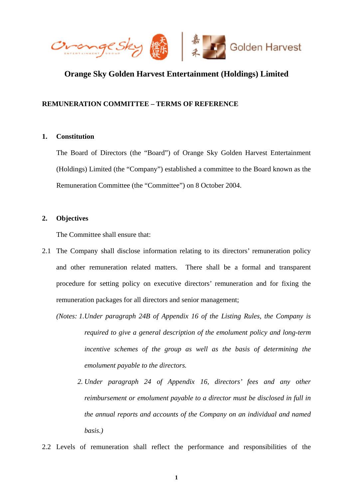

# **Orange Sky Golden Harvest Entertainment (Holdings) Limited**

# **REMUNERATION COMMITTEE – TERMS OF REFERENCE**

### **1. Constitution**

The Board of Directors (the "Board") of Orange Sky Golden Harvest Entertainment (Holdings) Limited (the "Company") established a committee to the Board known as the Remuneration Committee (the "Committee") on 8 October 2004.

# **2. Objectives**

The Committee shall ensure that:

- 2.1 The Company shall disclose information relating to its directors' remuneration policy and other remuneration related matters. There shall be a formal and transparent procedure for setting policy on executive directors' remuneration and for fixing the remuneration packages for all directors and senior management;
	- *(Notes: 1. Under paragraph 24B of Appendix 16 of the Listing Rules, the Company is required to give a general description of the emolument policy and long-term incentive schemes of the group as well as the basis of determining the emolument payable to the directors.* 
		- *2. Under paragraph 24 of Appendix 16, directors' fees and any other reimbursement or emolument payable to a director must be disclosed in full in the annual reports and accounts of the Company on an individual and named basis.)*
- 2.2 Levels of remuneration shall reflect the performance and responsibilities of the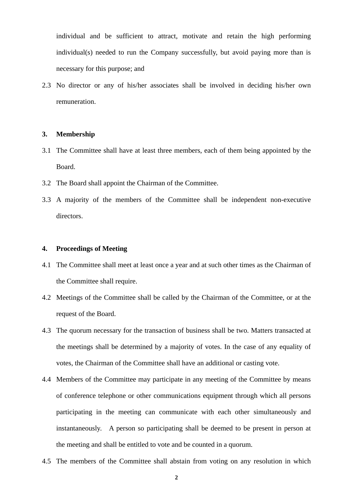individual and be sufficient to attract, motivate and retain the high performing individual(s) needed to run the Company successfully, but avoid paying more than is necessary for this purpose; and

2.3 No director or any of his/her associates shall be involved in deciding his/her own remuneration.

#### **3. Membership**

- 3.1 The Committee shall have at least three members, each of them being appointed by the Board.
- 3.2 The Board shall appoint the Chairman of the Committee.
- 3.3 A majority of the members of the Committee shall be independent non-executive directors.

#### **4. Proceedings of Meeting**

- 4.1 The Committee shall meet at least once a year and at such other times as the Chairman of the Committee shall require.
- 4.2 Meetings of the Committee shall be called by the Chairman of the Committee, or at the request of the Board.
- 4.3 The quorum necessary for the transaction of business shall be two. Matters transacted at the meetings shall be determined by a majority of votes. In the case of any equality of votes, the Chairman of the Committee shall have an additional or casting vote.
- 4.4 Members of the Committee may participate in any meeting of the Committee by means of conference telephone or other communications equipment through which all persons participating in the meeting can communicate with each other simultaneously and instantaneously. A person so participating shall be deemed to be present in person at the meeting and shall be entitled to vote and be counted in a quorum.
- 4.5 The members of the Committee shall abstain from voting on any resolution in which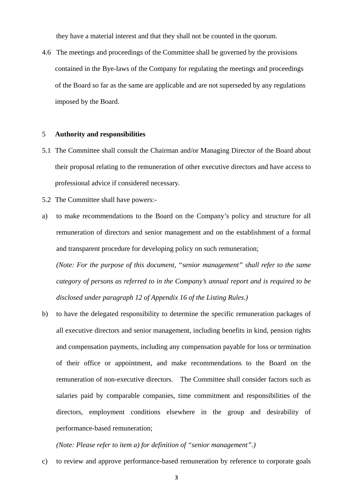they have a material interest and that they shall not be counted in the quorum.

4.6 The meetings and proceedings of the Committee shall be governed by the provisions contained in the Bye-laws of the Company for regulating the meetings and proceedings of the Board so far as the same are applicable and are not superseded by any regulations imposed by the Board.

#### 5 **Authority and responsibilities**

- 5.1 The Committee shall consult the Chairman and/or Managing Director of the Board about their proposal relating to the remuneration of other executive directors and have access to professional advice if considered necessary.
- 5.2 The Committee shall have powers:-
- a) to make recommendations to the Board on the Company's policy and structure for all remuneration of directors and senior management and on the establishment of a formal and transparent procedure for developing policy on such remuneration;

*(Note: For the purpose of this document, "senior management" shall refer to the same category of persons as referred to in the Company's annual report and is required to be disclosed under paragraph 12 of Appendix 16 of the Listing Rules.)* 

b) to have the delegated responsibility to determine the specific remuneration packages of all executive directors and senior management, including benefits in kind, pension rights and compensation payments, including any compensation payable for loss or termination of their office or appointment, and make recommendations to the Board on the remuneration of non-executive directors. The Committee shall consider factors such as salaries paid by comparable companies, time commitment and responsibilities of the directors, employment conditions elsewhere in the group and desirability of performance-based remuneration;

# *(Note: Please refer to item a) for definition of "senior management".)*

c) to review and approve performance-based remuneration by reference to corporate goals